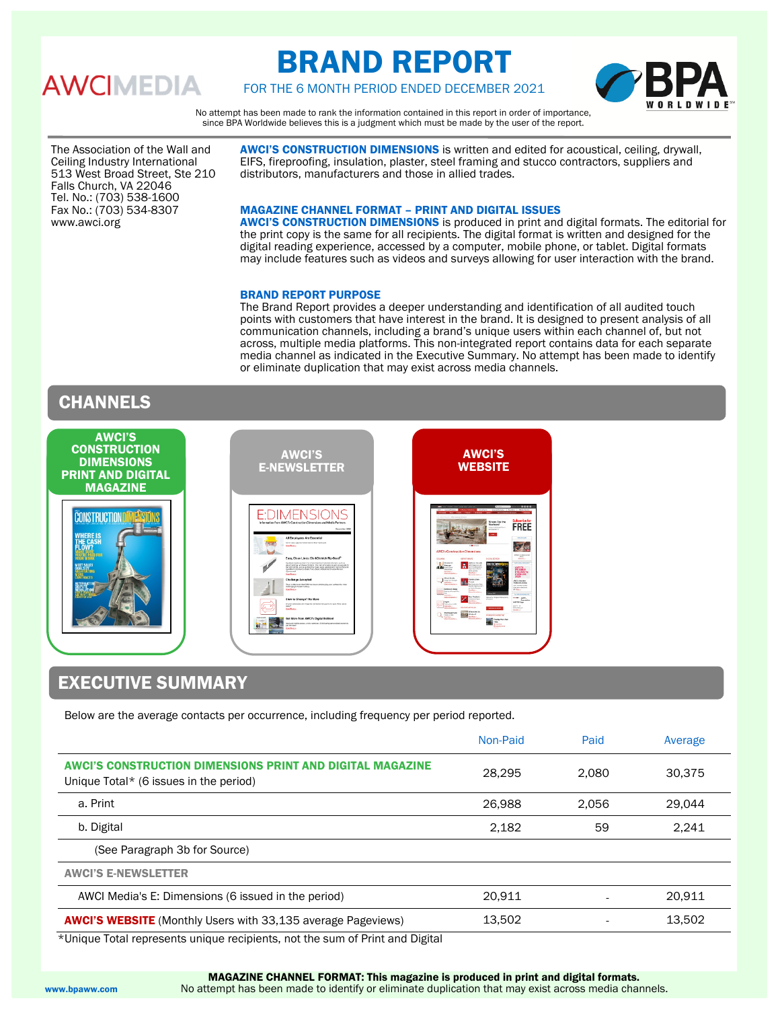# **AWCIMEDIA**

# BRAND REPORT



FOR THE 6 MONTH PERIOD ENDED DECEMBER 2021

No attempt has been made to rank the information contained in this report in order of importance, since BPA Worldwide believes this is a judgment which must be made by the user of the report.

The Association of the Wall and Ceiling Industry International 513 West Broad Street, Ste 210 Falls Church, VA 22046 Tel. No.: (703) 538-1600 Fax No.: (703) 534-8307 www.awci.org

AWCI'S CONSTRUCTION DIMENSIONS is written and edited for acoustical, ceiling, drywall, EIFS, fireproofing, insulation, plaster, steel framing and stucco contractors, suppliers and distributors, manufacturers and those in allied trades.

### MAGAZINE CHANNEL FORMAT – PRINT AND DIGITAL ISSUES

AWCI'S CONSTRUCTION DIMENSIONS is produced in print and digital formats. The editorial for the print copy is the same for all recipients. The digital format is written and designed for the digital reading experience, accessed by a computer, mobile phone, or tablet. Digital formats may include features such as videos and surveys allowing for user interaction with the brand.

### BRAND REPORT PURPOSE

The Brand Report provides a deeper understanding and identification of all audited touch points with customers that have interest in the brand. It is designed to present analysis of all communication channels, including a brand's unique users within each channel of, but not across, multiple media platforms. This non-integrated report contains data for each separate media channel as indicated in the Executive Summary. No attempt has been made to identify or eliminate duplication that may exist across media channels.

## **CHANNELS**



# EXECUTIVE SUMMARY

Below are the average contacts per occurrence, including frequency per period reported.

| Non-Paid | Paid  | Average |
|----------|-------|---------|
| 28.295   | 2.080 | 30,375  |
| 26,988   | 2.056 | 29.044  |
| 2,182    | 59    | 2.241   |
|          |       |         |
|          |       |         |
| 20.911   |       | 20.911  |
| 13,502   |       | 13,502  |
|          |       |         |

\*Unique Total represents unique recipients, not the sum of Print and Digital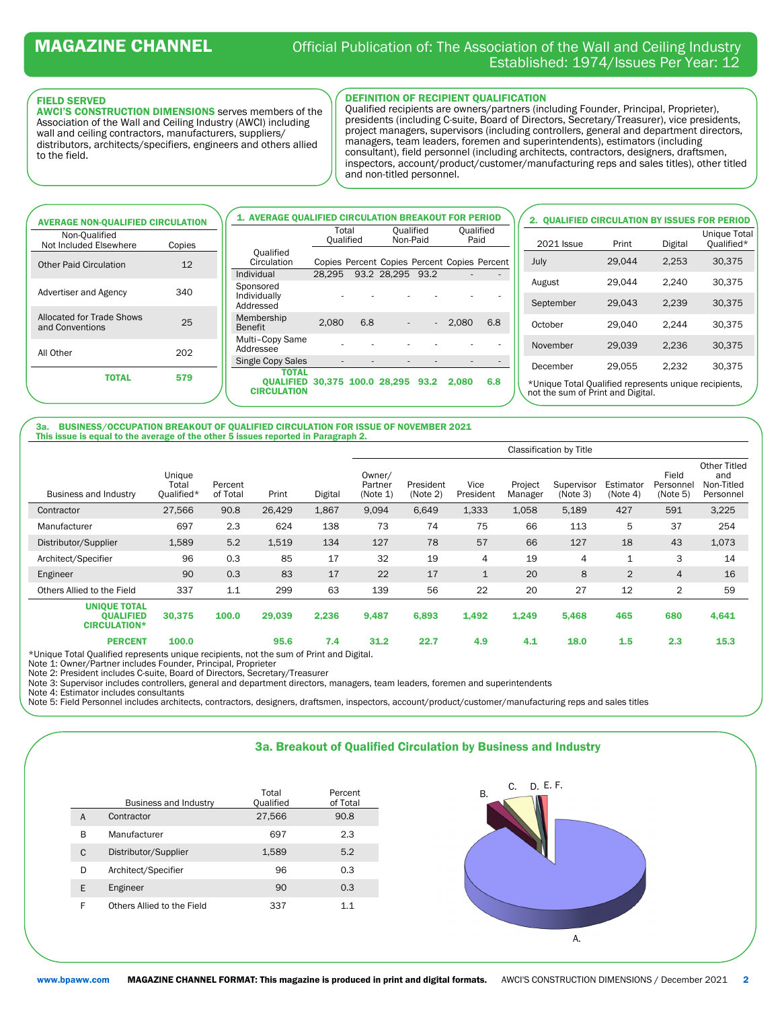#### FIELD SERVED

AWCI'S CONSTRUCTION DIMENSIONS serves members of the Association of the Wall and Ceiling Industry (AWCI) including wall and ceiling contractors, manufacturers, suppliers/ distributors, architects/specifiers, engineers and others allied to the field.

### DEFINITION OF RECIPIENT QUALIFICATION

Qualified recipients are owners/partners (including Founder, Principal, Proprieter), presidents (including C-suite, Board of Directors, Secretary/Treasurer), vice presidents, project managers, supervisors (including controllers, general and department directors, managers, team leaders, foremen and superintendents), estimators (including consultant), field personnel (including architects, contractors, designers, draftsmen, inspectors, account/product/customer/manufacturing reps and sales titles), other titled and non-titled personnel.

| <b>AVERAGE NON-QUALIFIED CIRCULATION</b>                  | <b>1. AVERAGE OUALIFIED CIRCULATION BREAKOUT FOR PERIOD</b>     |                    |     |                       |        |                                              |                          | 2. QUALIFIED CIRCULATION BY ISSUES FOR PERIOD                                              |        |         |                                   |
|-----------------------------------------------------------|-----------------------------------------------------------------|--------------------|-----|-----------------------|--------|----------------------------------------------|--------------------------|--------------------------------------------------------------------------------------------|--------|---------|-----------------------------------|
| Non-Oualified<br>Not Included Elsewhere<br>Copies         |                                                                 | Total<br>Oualified |     | Oualified<br>Non-Paid |        | Oualified<br>Paid                            |                          | <b>2021 Issue</b>                                                                          | Print  | Digital | <b>Unique Total</b><br>Oualified* |
| 12<br><b>Other Paid Circulation</b>                       | Oualified<br>Circulation                                        |                    |     |                       |        | Copies Percent Copies Percent Copies Percent |                          | July                                                                                       | 29,044 | 2,253   | 30,375                            |
| 340<br>Advertiser and Agency                              | Individual<br>Sponsored<br>Individually                         | 28.295             |     | 93.2 28.295 93.2      |        | $\sim$                                       | $\overline{\phantom{a}}$ | August                                                                                     | 29,044 | 2,240   | 30,375                            |
|                                                           | Addressed                                                       |                    |     |                       |        |                                              |                          | September                                                                                  | 29.043 | 2.239   | 30,375                            |
| <b>Allocated for Trade Shows</b><br>25<br>and Conventions | Membership<br><b>Benefit</b>                                    | 2.080              | 6.8 | $\sim$                | $\sim$ | 2.080                                        | 6.8                      | October                                                                                    | 29.040 | 2.244   | 30.375                            |
| 202<br>All Other                                          | Multi-Copy Same<br>Addressee                                    |                    |     |                       |        |                                              |                          | November                                                                                   | 29.039 | 2.236   | 30,375                            |
|                                                           | Single Copy Sales<br><b>TOTAL</b>                               |                    |     |                       |        |                                              |                          | December                                                                                   | 29.055 | 2.232   | 30.375                            |
| <b>TOTAL</b><br>579                                       | <b>OUALIFIED 30.375 100.0 28.295 93.2</b><br><b>CIRCULATION</b> |                    |     |                       |        | 2.080                                        | 6.8                      | *Unique Total Qualified represents unique recipients,<br>not the sum of Print and Digital. |        |         |                                   |

BUSINESS/OCCUPATION BREAKOUT OF QUALIFIED CIRCULATION FOR ISSUE OF NOVEMBER 2021 This issue is equal to the average of the other 5 issues reported in Paragraph 2.

|                                                                |                               |                     |        |         | Classification by Title       |                       |                   |                    |                        |                       |                                |                                                |
|----------------------------------------------------------------|-------------------------------|---------------------|--------|---------|-------------------------------|-----------------------|-------------------|--------------------|------------------------|-----------------------|--------------------------------|------------------------------------------------|
| Business and Industry                                          | Unique<br>Total<br>Qualified* | Percent<br>of Total | Print  | Digital | Owner/<br>Partner<br>(Note 1) | President<br>(Note 2) | Vice<br>President | Project<br>Manager | Supervisor<br>(Note 3) | Estimator<br>(Note 4) | Field<br>Personnel<br>(Note 5) | Other Titled<br>and<br>Non-Titled<br>Personnel |
| Contractor                                                     | 27.566                        | 90.8                | 26.429 | 1,867   | 9.094                         | 6,649                 | 1,333             | 1,058              | 5,189                  | 427                   | 591                            | 3,225                                          |
| Manufacturer                                                   | 697                           | 2.3                 | 624    | 138     | 73                            | 74                    | 75                | 66                 | 113                    | 5                     | 37                             | 254                                            |
| Distributor/Supplier                                           | 1,589                         | 5.2                 | 1,519  | 134     | 127                           | 78                    | 57                | 66                 | 127                    | 18                    | 43                             | 1,073                                          |
| Architect/Specifier                                            | 96                            | 0.3                 | 85     | 17      | 32                            | 19                    | 4                 | 19                 | 4                      | $\mathbf{1}$          | 3                              | 14                                             |
| Engineer                                                       | 90                            | 0.3                 | 83     | 17      | 22                            | 17                    | $\mathbf{1}$      | 20                 | 8                      | 2                     | $\overline{4}$                 | 16                                             |
| Others Allied to the Field                                     | 337                           | 1.1                 | 299    | 63      | 139                           | 56                    | 22                | 20                 | 27                     | 12                    | 2                              | 59                                             |
| <b>UNIQUE TOTAL</b><br><b>OUALIFIED</b><br><b>CIRCULATION*</b> | 30,375                        | 100.0               | 29,039 | 2,236   | 9,487                         | 6,893                 | 1,492             | 1,249              | 5,468                  | 465                   | 680                            | 4,641                                          |
| <b>PERCENT</b>                                                 | 100.0                         |                     | 95.6   | 7.4     | 31.2                          | 22.7                  | 4.9               | 4.1                | 18.0                   | 1.5                   | 2.3                            | 15.3                                           |

\*Unique Total Qualified represents unique recipients, not the sum of Print and Digital. Note 1: Owner/Partner includes Founder, Principal, Proprieter

Note 2: President includes C-suite, Board of Directors, Secretary/Treasurer

Note 3: Supervisor includes controllers, general and department directors, managers, team leaders, foremen and superintendents

Note 4: Estimator includes consultants

Note 5: Field Personnel includes architects, contractors, designers, draftsmen, inspectors, account/product/customer/manufacturing reps and sales titles



|   | <b>Business and Industry</b> | Total<br>Qualified | Percent<br>of Total |
|---|------------------------------|--------------------|---------------------|
| A | Contractor                   | 27,566             | 90.8                |
| В | Manufacturer                 | 697                | 2.3                 |
| C | Distributor/Supplier         | 1,589              | 5.2                 |
| D | Architect/Specifier          | 96                 | 0.3                 |
| E | Engineer                     | 90                 | 0.3                 |
| F | Others Allied to the Field   | 337                | 11                  |

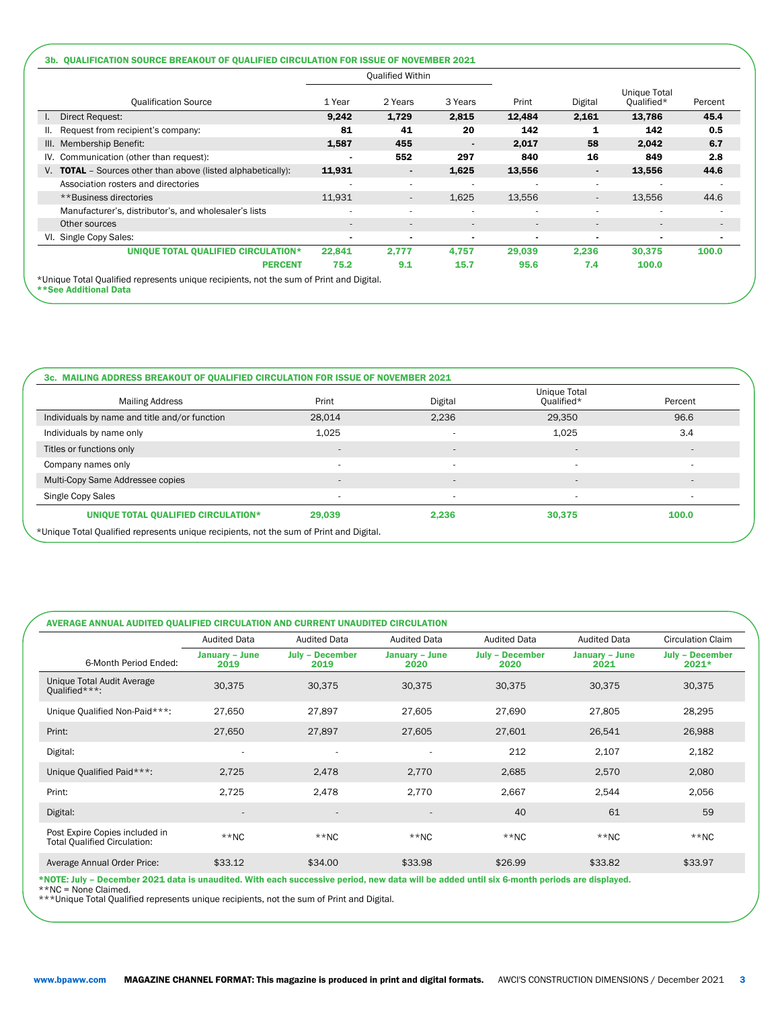|                                                                     |                          | <b>Qualified Within</b>  |                          |        |         |                            |         |
|---------------------------------------------------------------------|--------------------------|--------------------------|--------------------------|--------|---------|----------------------------|---------|
| <b>Qualification Source</b>                                         | 1 Year                   | 2 Years                  | 3 Years                  | Print  | Digital | Unique Total<br>Qualified* | Percent |
| Direct Request:                                                     | 9,242                    | 1,729                    | 2,815                    | 12,484 | 2,161   | 13,786                     | 45.4    |
| Request from recipient's company:<br>Ш.                             | 81                       | 41                       | 20                       | 142    | 1       | 142                        | 0.5     |
| III. Membership Benefit:                                            | 1,587                    | 455                      |                          | 2,017  | 58      | 2,042                      | 6.7     |
| IV. Communication (other than request):                             |                          | 552                      | 297                      | 840    | 16      | 849                        | 2.8     |
| V. <b>TOTAL</b> – Sources other than above (listed alphabetically): | 11,931                   | $\blacksquare$           | 1,625                    | 13,556 |         | 13,556                     | 44.6    |
| Association rosters and directories                                 | $\overline{\phantom{a}}$ | $\overline{\phantom{a}}$ |                          |        | ۰       |                            |         |
| **Business directories                                              | 11,931                   | $\overline{\phantom{a}}$ | 1,625                    | 13,556 |         | 13,556                     | 44.6    |
| Manufacturer's, distributor's, and wholesaler's lists               |                          |                          |                          |        |         |                            |         |
| Other sources                                                       | $\overline{\phantom{a}}$ |                          | $\overline{\phantom{a}}$ |        |         |                            |         |
| VI. Single Copy Sales:                                              |                          |                          |                          |        |         |                            |         |
| UNIQUE TOTAL QUALIFIED CIRCULATION*                                 | 22,841                   | 2,777                    | 4,757                    | 29,039 | 2,236   | 30,375                     | 100.0   |
| <b>PERCENT</b>                                                      | 75.2                     | 9.1                      | 15.7                     | 95.6   | 7.4     | 100.0                      |         |

| <b>Mailing Address</b>                        | Print  | Digital                  | Unique Total<br>Oualified* | Percent                  |
|-----------------------------------------------|--------|--------------------------|----------------------------|--------------------------|
| Individuals by name and title and/or function | 28,014 | 2,236                    | 29,350                     | 96.6                     |
| Individuals by name only                      | 1,025  |                          | 1,025                      | 3.4                      |
| Titles or functions only                      |        | $\sim$                   | $\overline{\phantom{a}}$   | $\overline{\phantom{a}}$ |
| Company names only                            |        | $\overline{\phantom{a}}$ | $\overline{\phantom{a}}$   | ۰                        |
| Multi-Copy Same Addressee copies              |        |                          | $\overline{\phantom{a}}$   | ۰                        |
| Single Copy Sales                             |        |                          | ۰                          |                          |
| UNIQUE TOTAL QUALIFIED CIRCULATION*           | 29,039 | 2,236                    | 30,375                     | 100.0                    |

### AVERAGE ANNUAL AUDITED QUALIFIED CIRCULATION AND CURRENT UNAUDITED CIRCULATION

| <b>January - June</b> | <b>July - December</b>   |                               |                                |                               |                                                                                                                                             |
|-----------------------|--------------------------|-------------------------------|--------------------------------|-------------------------------|---------------------------------------------------------------------------------------------------------------------------------------------|
| 2019                  | 2019                     | <b>January - June</b><br>2020 | <b>July - December</b><br>2020 | <b>January - June</b><br>2021 | <b>July - December</b><br>$2021*$                                                                                                           |
| 30,375                | 30,375                   | 30,375                        | 30,375                         | 30,375                        | 30,375                                                                                                                                      |
| 27,650                | 27,897                   | 27,605                        | 27,690                         | 27,805                        | 28,295                                                                                                                                      |
| 27,650                | 27,897                   | 27,605                        | 27,601                         | 26,541                        | 26,988                                                                                                                                      |
|                       | ٠                        | $\overline{\phantom{a}}$      | 212                            | 2,107                         | 2,182                                                                                                                                       |
| 2,725                 | 2,478                    | 2,770                         | 2,685                          | 2,570                         | 2,080                                                                                                                                       |
| 2,725                 | 2,478                    | 2,770                         | 2,667                          | 2,544                         | 2,056                                                                                                                                       |
|                       | $\overline{\phantom{a}}$ | $\overline{\phantom{a}}$      | 40                             | 61                            | 59                                                                                                                                          |
| $**NC$                | $**NC$                   | $**NC$                        | $*$ NC                         | $**NC$                        | $*$ NC                                                                                                                                      |
| \$33.12               | \$34.00                  | \$33.98                       | \$26.99                        | \$33.82                       | \$33.97                                                                                                                                     |
|                       |                          |                               |                                |                               | *NOTE: July - December 2021 data is unaudited. With each successive period, new data will be added until six 6-month periods are displayed. |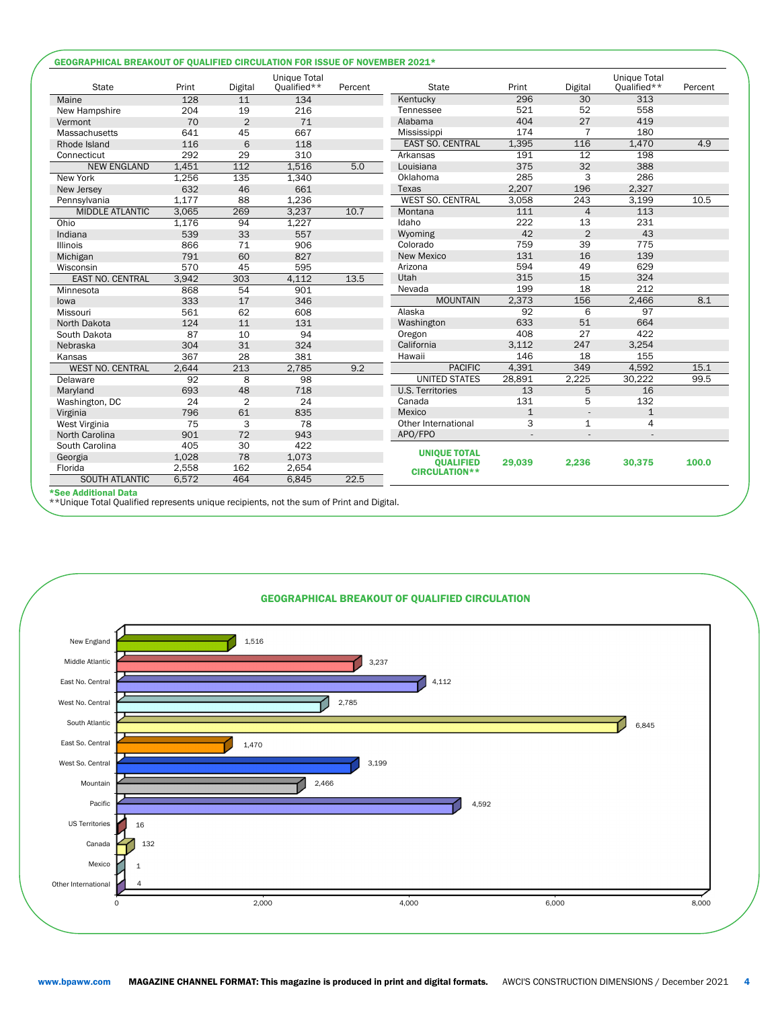| <b>State</b>            | Print | Digital         | <b>Unique Total</b><br>Qualified** | Percent | <b>State</b>                             | Print          | Digital        | <b>Unique Total</b><br>Qualified** | Percent |
|-------------------------|-------|-----------------|------------------------------------|---------|------------------------------------------|----------------|----------------|------------------------------------|---------|
| Maine                   | 128   | 11              | 134                                |         | Kentucky                                 | 296            | 30             | 313                                |         |
| New Hampshire           | 204   | 19              | 216                                |         | Tennessee                                | 521            | 52             | 558                                |         |
| Vermont                 | 70    | $\overline{2}$  | 71                                 |         | Alabama                                  | 404            | 27             | 419                                |         |
| Massachusetts           | 641   | 45              | 667                                |         | Mississippi                              | 174            | 7              | 180                                |         |
| Rhode Island            | 116   | 6               | 118                                |         | <b>EAST SO. CENTRAL</b>                  | 1,395          | 116            | 1,470                              | 4.9     |
| Connecticut             | 292   | 29              | 310                                |         | Arkansas                                 | 191            | 12             | 198                                |         |
| <b>NEW ENGLAND</b>      | 1,451 | $\frac{112}{2}$ | 1,516                              | 5.0     | Louisiana                                | 375            | 32             | 388                                |         |
| New York                | 1,256 | 135             | 1,340                              |         | Oklahoma                                 | 285            | 3              | 286                                |         |
| New Jersey              | 632   | 46              | 661                                |         | Texas                                    | 2,207          | 196            | 2,327                              |         |
| Pennsylvania            | 1.177 | 88              | 1,236                              |         | <b>WEST SO. CENTRAL</b>                  | 3,058          | 243            | 3,199                              | 10.5    |
| <b>MIDDLE ATLANTIC</b>  | 3,065 | 269             | 3,237                              | 10.7    | Montana                                  | 111            | $\overline{4}$ | 113                                |         |
| Ohio                    | 1,176 | 94              | 1,227                              |         | Idaho                                    | 222            | 13             | 231                                |         |
| Indiana                 | 539   | 33              | 557                                |         | Wyoming                                  | 42             | $\overline{2}$ | 43                                 |         |
| <b>Illinois</b>         | 866   | 71              | 906                                |         | Colorado                                 | 759            | 39             | 775                                |         |
| Michigan                | 791   | 60              | 827                                |         | <b>New Mexico</b>                        | 131            | 16             | 139                                |         |
| Wisconsin               | 570   | 45              | 595                                |         | Arizona                                  | 594            | 49             | 629                                |         |
| <b>EAST NO. CENTRAL</b> | 3.942 | 303             | 4.112                              | 13.5    | Utah                                     | 315            | 15             | 324                                |         |
| Minnesota               | 868   | 54              | 901                                |         | Nevada                                   | 199            | 18             | 212                                |         |
| lowa                    | 333   | 17              | 346                                |         | <b>MOUNTAIN</b>                          | 2,373          | 156            | 2,466                              | 8.1     |
| Missouri                | 561   | 62              | 608                                |         | Alaska                                   | 92             | 6              | 97                                 |         |
| North Dakota            | 124   | 11              | 131                                |         | Washington                               | 633            | 51             | 664                                |         |
| South Dakota            | 87    | 10              | 94                                 |         | Oregon                                   | 408            | 27             | 422                                |         |
| Nebraska                | 304   | 31              | 324                                |         | California                               | 3,112          | 247            | 3,254                              |         |
| Kansas                  | 367   | 28              | 381                                |         | Hawaii                                   | 146            | 18             | 155                                |         |
| WEST NO. CENTRAL        | 2,644 | 213             | 2,785                              | 9.2     | <b>PACIFIC</b>                           | 4.391          | 349            | 4.592                              | 15.1    |
| Delaware                | 92    | $\overline{8}$  | $\overline{98}$                    |         | <b>UNITED STATES</b>                     | 28,891         | 2,225          | 30,222                             | 99.5    |
| Maryland                | 693   | 48              | 718                                |         | <b>U.S. Territories</b>                  | 13             | 5              | 16                                 |         |
| Washington, DC          | 24    | $\overline{2}$  | 24                                 |         | Canada                                   | 131            | 5              | 132                                |         |
| Virginia                | 796   | 61              | 835                                |         | Mexico                                   | $\overline{1}$ | $\overline{a}$ | $\mathbf{1}$                       |         |
| West Virginia           | 75    | 3               | 78                                 |         | Other International                      | 3              | $\mathbf{1}$   | 4                                  |         |
| North Carolina          | 901   | 72              | 943                                |         | APO/FPO                                  |                |                |                                    |         |
| South Carolina          | 405   | 30              | 422                                |         |                                          |                |                |                                    |         |
| Georgia                 | 1,028 | 78              | 1,073                              |         | <b>UNIQUE TOTAL</b>                      |                |                |                                    |         |
| Florida                 | 2,558 | 162             | 2,654                              |         | <b>OUALIFIED</b><br><b>CIRCULATION**</b> | 29,039         | 2,236          | 30,375                             | 100.0   |
| <b>SOUTH ATLANTIC</b>   | 6,572 | 464             | 6.845                              | 22.5    |                                          |                |                |                                    |         |

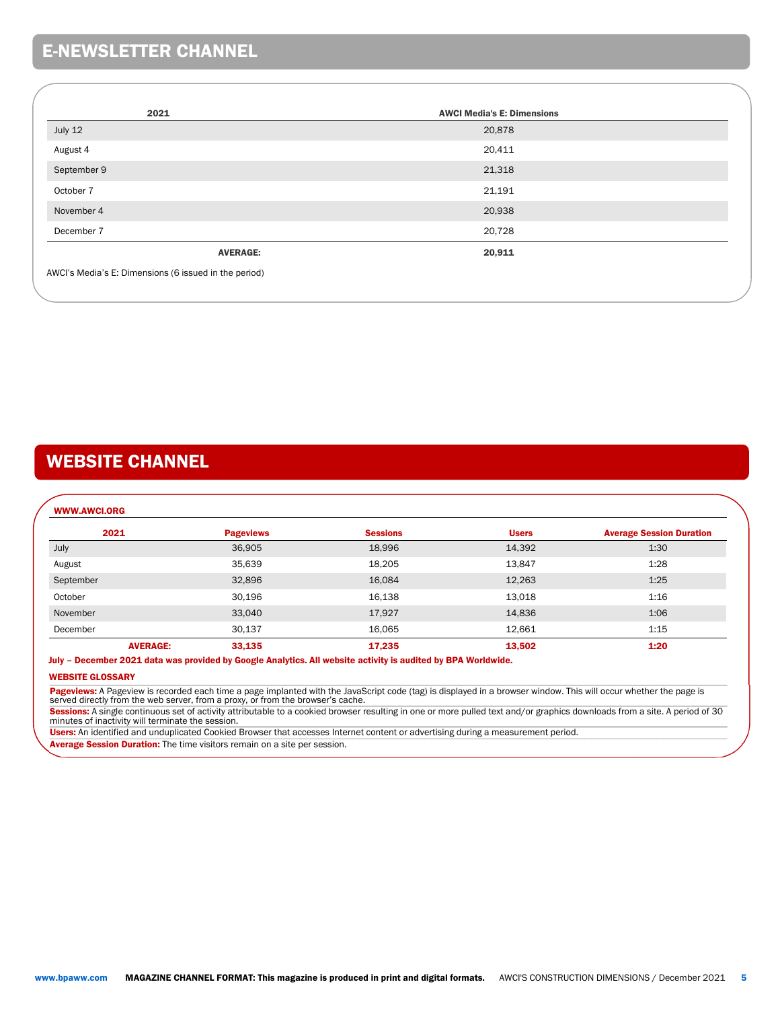# E-NEWSLETTER CHANNEL

| 2021                                                  | <b>AWCI Media's E: Dimensions</b> |
|-------------------------------------------------------|-----------------------------------|
| July 12                                               | 20,878                            |
| August 4                                              | 20,411                            |
| September 9                                           | 21,318                            |
| October 7                                             | 21,191                            |
| November 4                                            | 20,938                            |
| December 7                                            | 20,728                            |
| <b>AVERAGE:</b>                                       | 20,911                            |
| AWCI's Media's E: Dimensions (6 issued in the period) |                                   |

# WEBSITE CHANNEL

## WWW.AWCI.ORG 2021 Pageviews Sessions Users Average Session Duration July 36,905 18,996 14,392 1:30 August 35,639 18,205 13,847 1:28 September 32,896 16,084 12,263 1:25 October 30,196 16,138 13,018 1:16 November 33,040 17,927 14,836 1:06 December 30,137 16,065 12,661 1:15 AVERAGE: 33,135 17,235 13,502 1:20

### July – December 2021 data was provided by Google Analytics. All website activity is audited by BPA Worldwide.

### WEBSITE GLOSSARY

Pageviews: A Pageview is recorded each time a page implanted with the JavaScript code (tag) is displayed in a browser window. This will occur whether the page is<br>served directly from the web server, from a proxy, or from t

Sessions: A single continuous set of activity attributable to a cookied browser resulting in one or more pulled text and/or graphics downloads from a site. A period of 30 minutes of inactivity will terminate the session.

Users: An identified and unduplicated Cookied Browser that accesses Internet content or advertising during a measurement period.

Average Session Duration: The time visitors remain on a site per session.